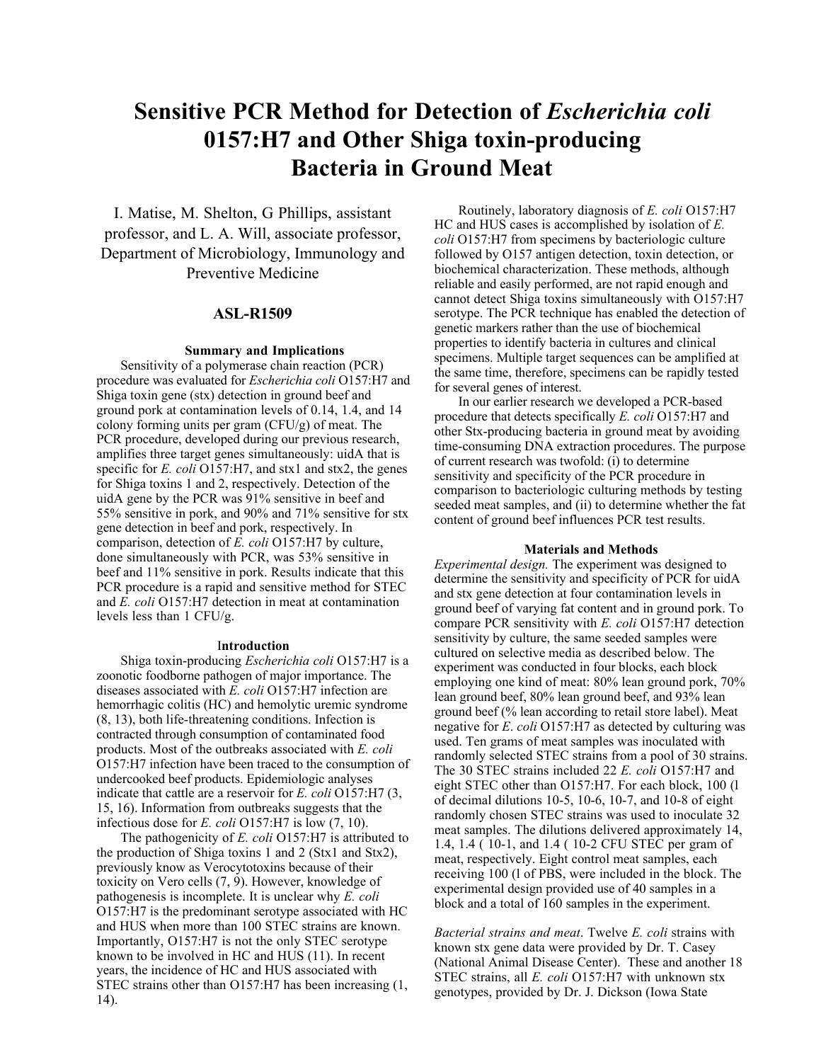# **Sensitive PCR Method for Detection of** *Escherichia coli* **0157:H7 and Other Shiga toxin-producing Bacteria in Ground Meat**

I. Matise, M. Shelton, G Phillips, assistant professor, and L. A. Will, associate professor, Department of Microbiology, Immunology and Preventive Medicine

# **ASL-R1509**

## **Summary and Implications**

Sensitivity of a polymerase chain reaction (PCR) procedure was evaluated for *Escherichia coli* O157:H7 and Shiga toxin gene (stx) detection in ground beef and ground pork at contamination levels of 0.14, 1.4, and 14 colony forming units per gram  $(CFU/g)$  of meat. The PCR procedure, developed during our previous research, amplifies three target genes simultaneously: uidA that is specific for *E. coli* O157:H7, and stx1 and stx2, the genes for Shiga toxins 1 and 2, respectively. Detection of the uidA gene by the PCR was 91% sensitive in beef and 55% sensitive in pork, and 90% and 71% sensitive for stx gene detection in beef and pork, respectively. In comparison, detection of *E. coli* O157:H7 by culture, done simultaneously with PCR, was 53% sensitive in beef and 11% sensitive in pork. Results indicate that this PCR procedure is a rapid and sensitive method for STEC and *E. coli* O157:H7 detection in meat at contamination levels less than 1 CFU/g.

#### I**ntroduction**

Shiga toxin-producing *Escherichia coli* O157:H7 is a zoonotic foodborne pathogen of major importance. The diseases associated with *E. coli* O157:H7 infection are hemorrhagic colitis (HC) and hemolytic uremic syndrome (8, 13), both life-threatening conditions. Infection is contracted through consumption of contaminated food products. Most of the outbreaks associated with *E. coli* O157:H7 infection have been traced to the consumption of undercooked beef products. Epidemiologic analyses indicate that cattle are a reservoir for *E. coli* O157:H7 (3, 15, 16). Information from outbreaks suggests that the infectious dose for *E. coli* O157:H7 is low (7, 10).

The pathogenicity of *E. coli* O157:H7 is attributed to the production of Shiga toxins 1 and 2 (Stx1 and Stx2), previously know as Verocytotoxins because of their toxicity on Vero cells (7, 9). However, knowledge of pathogenesis is incomplete. It is unclear why *E. coli* O157:H7 is the predominant serotype associated with HC and HUS when more than 100 STEC strains are known. Importantly, O157:H7 is not the only STEC serotype known to be involved in HC and HUS (11). In recent years, the incidence of HC and HUS associated with STEC strains other than O157:H7 has been increasing (1, 14).

Routinely, laboratory diagnosis of *E. coli* O157:H7 HC and HUS cases is accomplished by isolation of *E. coli* O157:H7 from specimens by bacteriologic culture followed by O157 antigen detection, toxin detection, or biochemical characterization. These methods, although reliable and easily performed, are not rapid enough and cannot detect Shiga toxins simultaneously with O157:H7 serotype. The PCR technique has enabled the detection of genetic markers rather than the use of biochemical properties to identify bacteria in cultures and clinical specimens. Multiple target sequences can be amplified at the same time, therefore, specimens can be rapidly tested for several genes of interest.

In our earlier research we developed a PCR-based procedure that detects specifically *E. coli* O157:H7 and other Stx-producing bacteria in ground meat by avoiding time-consuming DNA extraction procedures. The purpose of current research was twofold: (i) to determine sensitivity and specificity of the PCR procedure in comparison to bacteriologic culturing methods by testing seeded meat samples, and (ii) to determine whether the fat content of ground beef influences PCR test results.

#### **Materials and Methods**

*Experimental design.* The experiment was designed to determine the sensitivity and specificity of PCR for uidA and stx gene detection at four contamination levels in ground beef of varying fat content and in ground pork. To compare PCR sensitivity with *E. coli* O157:H7 detection sensitivity by culture, the same seeded samples were cultured on selective media as described below. The experiment was conducted in four blocks, each block employing one kind of meat: 80% lean ground pork, 70% lean ground beef, 80% lean ground beef, and 93% lean ground beef (% lean according to retail store label). Meat negative for *E*. *coli* O157:H7 as detected by culturing was used. Ten grams of meat samples was inoculated with randomly selected STEC strains from a pool of 30 strains. The 30 STEC strains included 22 *E. coli* O157:H7 and eight STEC other than O157:H7. For each block, 100 (l of decimal dilutions 10-5, 10-6, 10-7, and 10-8 of eight randomly chosen STEC strains was used to inoculate 32 meat samples. The dilutions delivered approximately 14, 1.4, 1.4 ( 10-1, and 1.4 ( 10-2 CFU STEC per gram of meat, respectively. Eight control meat samples, each receiving 100 (l of PBS, were included in the block. The experimental design provided use of 40 samples in a block and a total of 160 samples in the experiment.

*Bacterial strains and meat*. Twelve *E. coli* strains with known stx gene data were provided by Dr. T. Casey (National Animal Disease Center). These and another 18 STEC strains, all *E. coli* O157:H7 with unknown stx genotypes, provided by Dr. J. Dickson (Iowa State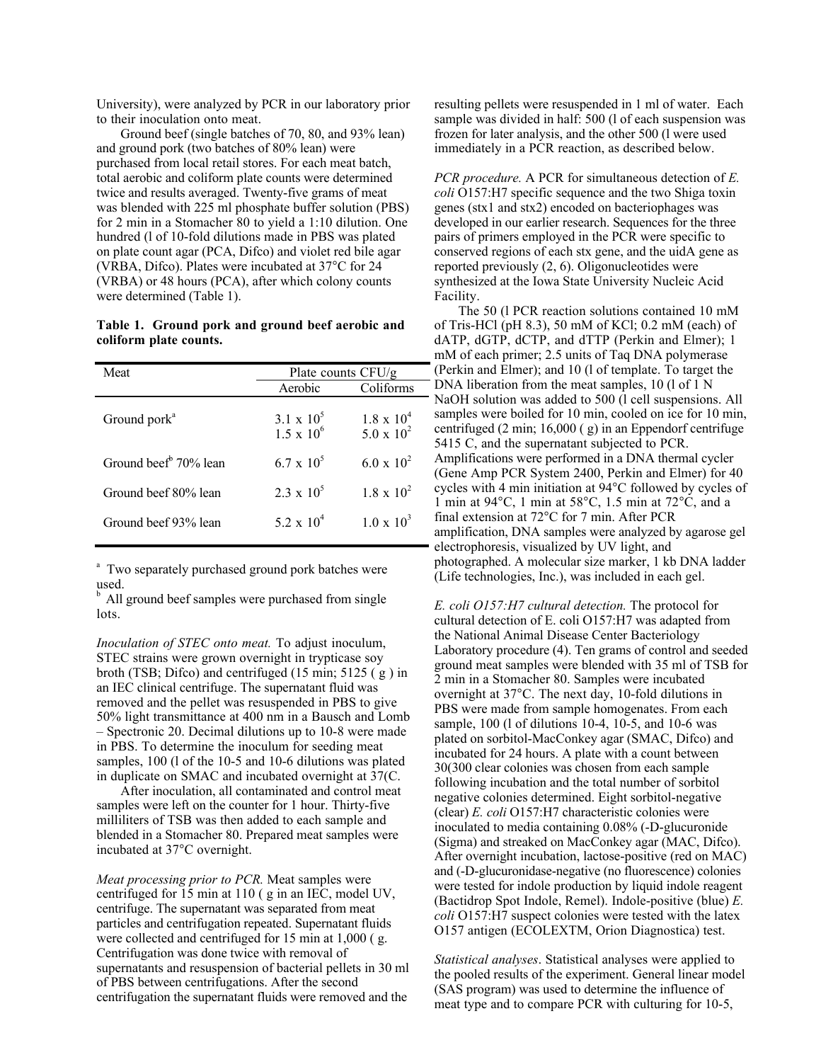University), were analyzed by PCR in our laboratory prior to their inoculation onto meat.

Ground beef (single batches of 70, 80, and 93% lean) and ground pork (two batches of 80% lean) were purchased from local retail stores. For each meat batch, total aerobic and coliform plate counts were determined twice and results averaged. Twenty-five grams of meat was blended with 225 ml phosphate buffer solution (PBS) for 2 min in a Stomacher 80 to yield a 1:10 dilution. One hundred (l of 10-fold dilutions made in PBS was plated on plate count agar (PCA, Difco) and violet red bile agar (VRBA, Difco). Plates were incubated at 37°C for 24 (VRBA) or 48 hours (PCA), after which colony counts were determined (Table 1).

# **Table 1. Ground pork and ground beef aerobic and coliform plate counts.**

| Meat                              | Plate counts $CFU/g$                   |                                   |  |
|-----------------------------------|----------------------------------------|-----------------------------------|--|
|                                   | Aerobic                                | Coliforms                         |  |
| Ground pork <sup>a</sup>          | $3.1 \times 10^5$<br>$1.5 \times 10^6$ | $1.8 \times 10^4$<br>5.0 x $10^2$ |  |
| Ground beef <sup>b</sup> 70% lean | $6.7 \times 10^{3}$                    | 6.0 x $10^2$                      |  |
| Ground beef 80% lean              | $2.3 \times 10^5$                      | $1.8 \times 10^{2}$               |  |
| Ground beef 93% lean              | 5 2 x $10^4$                           | $1.0 \times 10^{3}$               |  |
|                                   |                                        |                                   |  |

<sup>a</sup> Two separately purchased ground pork batches were used.

 $<sup>b</sup>$  All ground beef samples were purchased from single</sup> lots.

*Inoculation of STEC onto meat.* To adjust inoculum, STEC strains were grown overnight in trypticase soy broth (TSB; Difco) and centrifuged (15 min; 5125 ( g ) in an IEC clinical centrifuge. The supernatant fluid was removed and the pellet was resuspended in PBS to give 50% light transmittance at 400 nm in a Bausch and Lomb – Spectronic 20. Decimal dilutions up to 10-8 were made in PBS. To determine the inoculum for seeding meat samples, 100 (1 of the 10-5 and 10-6 dilutions was plated in duplicate on SMAC and incubated overnight at 37(C.

After inoculation, all contaminated and control meat samples were left on the counter for 1 hour. Thirty-five milliliters of TSB was then added to each sample and blended in a Stomacher 80. Prepared meat samples were incubated at 37°C overnight.

*Meat processing prior to PCR.* Meat samples were centrifuged for 15 min at 110 ( g in an IEC, model UV, centrifuge. The supernatant was separated from meat particles and centrifugation repeated. Supernatant fluids were collected and centrifuged for 15 min at 1,000 ( g. Centrifugation was done twice with removal of supernatants and resuspension of bacterial pellets in 30 ml of PBS between centrifugations. After the second centrifugation the supernatant fluids were removed and the

resulting pellets were resuspended in 1 ml of water. Each sample was divided in half: 500 (1 of each suspension was frozen for later analysis, and the other 500 (l were used immediately in a PCR reaction, as described below.

*PCR procedure.* A PCR for simultaneous detection of *E. coli* O157:H7 specific sequence and the two Shiga toxin genes (stx1 and stx2) encoded on bacteriophages was developed in our earlier research. Sequences for the three pairs of primers employed in the PCR were specific to conserved regions of each stx gene, and the uidA gene as reported previously (2, 6). Oligonucleotides were synthesized at the Iowa State University Nucleic Acid Facility.

The 50 (l PCR reaction solutions contained 10 mM of Tris-HCl (pH 8.3), 50 mM of KCl; 0.2 mM (each) of dATP, dGTP, dCTP, and dTTP (Perkin and Elmer); 1 mM of each primer; 2.5 units of Taq DNA polymerase (Perkin and Elmer); and 10 (l of template. To target the DNA liberation from the meat samples, 10 (1 of 1 N NaOH solution was added to 500 (l cell suspensions. All samples were boiled for 10 min, cooled on ice for 10 min, centrifuged (2 min; 16,000 ( g) in an Eppendorf centrifuge 5415 C, and the supernatant subjected to PCR. Amplifications were performed in a DNA thermal cycler (Gene Amp PCR System 2400, Perkin and Elmer) for 40 cycles with 4 min initiation at 94°C followed by cycles of 1 min at 94°C, 1 min at 58°C, 1.5 min at 72°C, and a final extension at 72°C for 7 min. After PCR amplification, DNA samples were analyzed by agarose gel electrophoresis, visualized by UV light, and photographed. A molecular size marker, 1 kb DNA ladder (Life technologies, Inc.), was included in each gel.

*E. coli O157:H7 cultural detection.* The protocol for cultural detection of E. coli O157:H7 was adapted from the National Animal Disease Center Bacteriology Laboratory procedure (4). Ten grams of control and seeded ground meat samples were blended with 35 ml of TSB for 2 min in a Stomacher 80. Samples were incubated overnight at 37°C. The next day, 10-fold dilutions in PBS were made from sample homogenates. From each sample, 100 (l of dilutions 10-4, 10-5, and 10-6 was plated on sorbitol-MacConkey agar (SMAC, Difco) and incubated for 24 hours. A plate with a count between 30(300 clear colonies was chosen from each sample following incubation and the total number of sorbitol negative colonies determined. Eight sorbitol-negative (clear) *E. coli* O157:H7 characteristic colonies were inoculated to media containing 0.08% (-D-glucuronide (Sigma) and streaked on MacConkey agar (MAC, Difco). After overnight incubation, lactose-positive (red on MAC) and (-D-glucuronidase-negative (no fluorescence) colonies were tested for indole production by liquid indole reagent (Bactidrop Spot Indole, Remel). Indole-positive (blue) *E. coli* O157:H7 suspect colonies were tested with the latex O157 antigen (ECOLEXTM, Orion Diagnostica) test.

*Statistical analyses*. Statistical analyses were applied to the pooled results of the experiment. General linear model (SAS program) was used to determine the influence of meat type and to compare PCR with culturing for 10-5,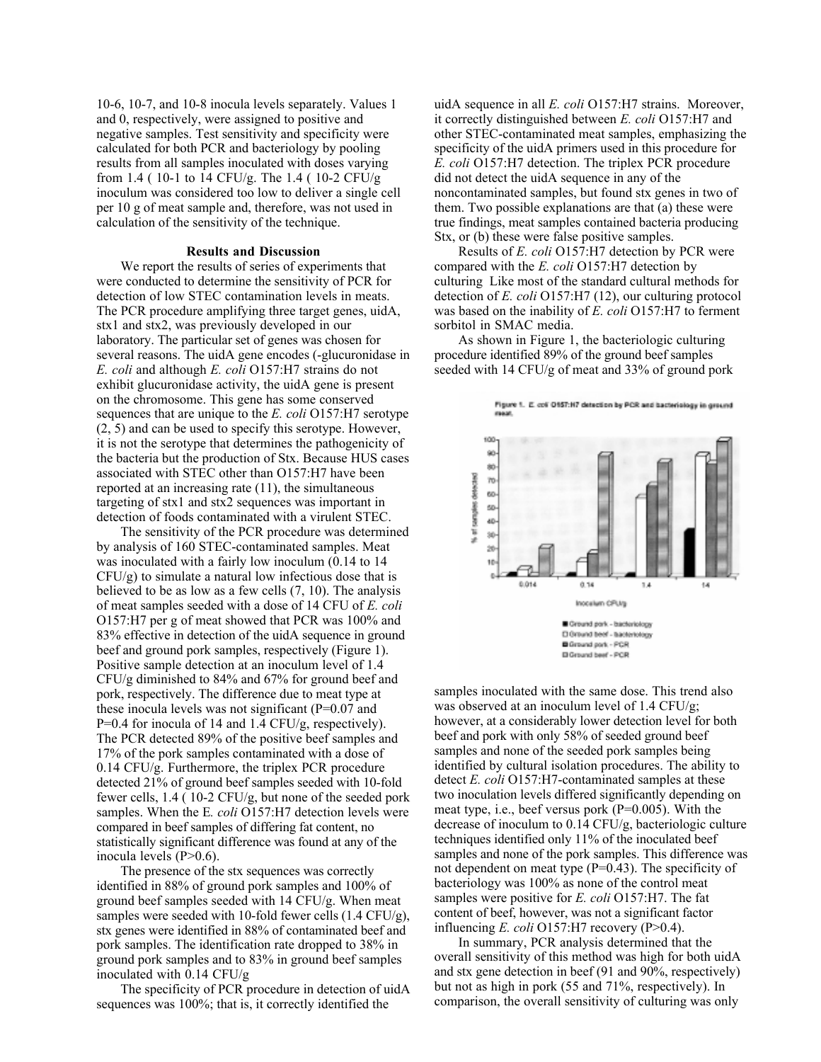10-6, 10-7, and 10-8 inocula levels separately. Values 1 and 0, respectively, were assigned to positive and negative samples. Test sensitivity and specificity were calculated for both PCR and bacteriology by pooling results from all samples inoculated with doses varying from 1.4 (10-1 to 14 CFU/g. The 1.4 (10-2 CFU/g) inoculum was considered too low to deliver a single cell per 10 g of meat sample and, therefore, was not used in calculation of the sensitivity of the technique.

### **Results and Discussion**

We report the results of series of experiments that were conducted to determine the sensitivity of PCR for detection of low STEC contamination levels in meats. The PCR procedure amplifying three target genes, uidA, stx1 and stx2, was previously developed in our laboratory. The particular set of genes was chosen for several reasons. The uidA gene encodes (-glucuronidase in *E. coli* and although *E. coli* O157:H7 strains do not exhibit glucuronidase activity, the uidA gene is present on the chromosome. This gene has some conserved sequences that are unique to the *E. coli* O157:H7 serotype (2, 5) and can be used to specify this serotype. However, it is not the serotype that determines the pathogenicity of the bacteria but the production of Stx. Because HUS cases associated with STEC other than O157:H7 have been reported at an increasing rate (11), the simultaneous targeting of stx1 and stx2 sequences was important in detection of foods contaminated with a virulent STEC.

The sensitivity of the PCR procedure was determined by analysis of 160 STEC-contaminated samples. Meat was inoculated with a fairly low inoculum (0.14 to 14 CFU/g) to simulate a natural low infectious dose that is believed to be as low as a few cells (7, 10). The analysis of meat samples seeded with a dose of 14 CFU of *E. coli* O157:H7 per g of meat showed that PCR was 100% and 83% effective in detection of the uidA sequence in ground beef and ground pork samples, respectively (Figure 1). Positive sample detection at an inoculum level of 1.4 CFU/g diminished to 84% and 67% for ground beef and pork, respectively. The difference due to meat type at these inocula levels was not significant (P=0.07 and P=0.4 for inocula of 14 and 1.4 CFU/g, respectively). The PCR detected 89% of the positive beef samples and 17% of the pork samples contaminated with a dose of  $0.14$  CFU/g. Furthermore, the triplex PCR procedure detected 21% of ground beef samples seeded with 10-fold fewer cells, 1.4 ( 10-2 CFU/g, but none of the seeded pork samples. When the E*. coli* O157:H7 detection levels were compared in beef samples of differing fat content, no statistically significant difference was found at any of the inocula levels (P>0.6).

The presence of the stx sequences was correctly identified in 88% of ground pork samples and 100% of ground beef samples seeded with 14 CFU/g. When meat samples were seeded with 10-fold fewer cells (1.4 CFU/g), stx genes were identified in 88% of contaminated beef and pork samples. The identification rate dropped to 38% in ground pork samples and to 83% in ground beef samples inoculated with 0.14 CFU/g

The specificity of PCR procedure in detection of uidA sequences was 100%; that is, it correctly identified the

uidA sequence in all *E. coli* O157:H7 strains. Moreover, it correctly distinguished between *E. coli* O157:H7 and other STEC-contaminated meat samples, emphasizing the specificity of the uidA primers used in this procedure for *E. coli* O157:H7 detection. The triplex PCR procedure did not detect the uidA sequence in any of the noncontaminated samples, but found stx genes in two of them. Two possible explanations are that (a) these were true findings, meat samples contained bacteria producing Stx, or (b) these were false positive samples.

Results of *E. coli* O157:H7 detection by PCR were compared with the *E. coli* O157:H7 detection by culturing Like most of the standard cultural methods for detection of *E. coli* O157:H7 (12), our culturing protocol was based on the inability of *E. coli* O157:H7 to ferment sorbitol in SMAC media.

As shown in Figure 1, the bacteriologic culturing procedure identified 89% of the ground beef samples seeded with 14 CFU/g of meat and 33% of ground pork



samples inoculated with the same dose. This trend also was observed at an inoculum level of 1.4 CFU/g; however, at a considerably lower detection level for both beef and pork with only 58% of seeded ground beef samples and none of the seeded pork samples being identified by cultural isolation procedures. The ability to detect *E. coli* O157:H7-contaminated samples at these two inoculation levels differed significantly depending on meat type, i.e., beef versus pork (P=0.005). With the decrease of inoculum to 0.14 CFU/g, bacteriologic culture techniques identified only 11% of the inoculated beef samples and none of the pork samples. This difference was not dependent on meat type (P=0.43). The specificity of bacteriology was 100% as none of the control meat samples were positive for *E. coli* O157:H7. The fat content of beef, however, was not a significant factor influencing *E. coli* O157:H7 recovery (P>0.4).

In summary, PCR analysis determined that the overall sensitivity of this method was high for both uidA and stx gene detection in beef (91 and 90%, respectively) but not as high in pork (55 and 71%, respectively). In comparison, the overall sensitivity of culturing was only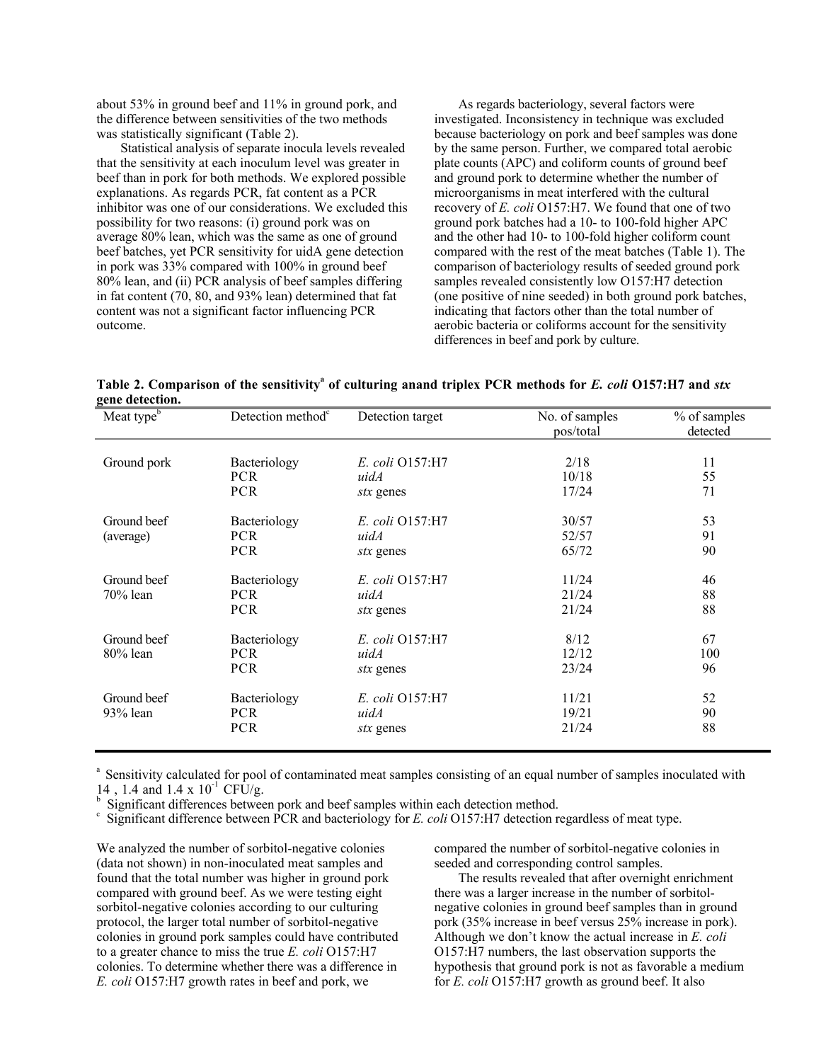about 53% in ground beef and 11% in ground pork, and the difference between sensitivities of the two methods was statistically significant (Table 2).

Statistical analysis of separate inocula levels revealed that the sensitivity at each inoculum level was greater in beef than in pork for both methods. We explored possible explanations. As regards PCR, fat content as a PCR inhibitor was one of our considerations. We excluded this possibility for two reasons: (i) ground pork was on average 80% lean, which was the same as one of ground beef batches, yet PCR sensitivity for uidA gene detection in pork was 33% compared with 100% in ground beef 80% lean, and (ii) PCR analysis of beef samples differing in fat content (70, 80, and 93% lean) determined that fat content was not a significant factor influencing PCR outcome.

As regards bacteriology, several factors were investigated. Inconsistency in technique was excluded because bacteriology on pork and beef samples was done by the same person. Further, we compared total aerobic plate counts (APC) and coliform counts of ground beef and ground pork to determine whether the number of microorganisms in meat interfered with the cultural recovery of *E. coli* O157:H7. We found that one of two ground pork batches had a 10- to 100-fold higher APC and the other had 10- to 100-fold higher coliform count compared with the rest of the meat batches (Table 1). The comparison of bacteriology results of seeded ground pork samples revealed consistently low O157:H7 detection (one positive of nine seeded) in both ground pork batches, indicating that factors other than the total number of aerobic bacteria or coliforms account for the sensitivity differences in beef and pork by culture.

**Table 2. Comparison of the sensitivity<sup>a</sup> of culturing anand triplex PCR methods for** *E. coli* **O157:H7 and** *stx* **gene detection.**

| $5$ and above all $\overline{a}$<br>Meat $\overline{type^b}$ | Detection method <sup>c</sup>            | Detection target                     | No. of samples<br>pos/total | % of samples<br>detected |
|--------------------------------------------------------------|------------------------------------------|--------------------------------------|-----------------------------|--------------------------|
| Ground pork                                                  | Bacteriology<br><b>PCR</b>               | E. coli O157:H7<br>uidA              | 2/18<br>10/18               | 11<br>55                 |
|                                                              | <b>PCR</b>                               | stx genes                            | 17/24                       | 71                       |
| Ground beef<br>(average)                                     | Bacteriology<br><b>PCR</b><br><b>PCR</b> | E. coli O157:H7<br>uidA<br>stx genes | 30/57<br>52/57<br>65/72     | 53<br>91<br>90           |
| Ground beef<br>70% lean                                      | Bacteriology<br><b>PCR</b><br><b>PCR</b> | E. coli Q157:H7<br>uidA<br>stx genes | 11/24<br>21/24<br>21/24     | 46<br>88<br>88           |
| Ground beef<br>80% lean                                      | Bacteriology<br><b>PCR</b><br><b>PCR</b> | E. coli O157:H7<br>uidA<br>stx genes | 8/12<br>12/12<br>23/24      | 67<br>100<br>96          |
| Ground beef<br>$93\%$ lean                                   | Bacteriology<br><b>PCR</b><br><b>PCR</b> | E. coli O157:H7<br>uidA<br>stx genes | 11/21<br>19/21<br>21/24     | 52<br>90<br>88           |

<sup>a</sup> Sensitivity calculated for pool of contaminated meat samples consisting of an equal number of samples inoculated with 14, 1.4 and 1.4 x  $10^{-1}$  CFU/g.

<sup>b</sup> Significant differences between pork and beef samples within each detection method.

 $c$  Significant difference between PCR and bacteriology for *E. coli* O157:H7 detection regardless of meat type.

We analyzed the number of sorbitol-negative colonies (data not shown) in non-inoculated meat samples and found that the total number was higher in ground pork compared with ground beef. As we were testing eight sorbitol-negative colonies according to our culturing protocol, the larger total number of sorbitol-negative colonies in ground pork samples could have contributed to a greater chance to miss the true *E. coli* O157:H7 colonies. To determine whether there was a difference in *E. coli* O157:H7 growth rates in beef and pork, we

compared the number of sorbitol-negative colonies in seeded and corresponding control samples.

The results revealed that after overnight enrichment there was a larger increase in the number of sorbitolnegative colonies in ground beef samples than in ground pork (35% increase in beef versus 25% increase in pork). Although we don't know the actual increase in *E. coli* O157:H7 numbers, the last observation supports the hypothesis that ground pork is not as favorable a medium for *E. coli* O157:H7 growth as ground beef. It also